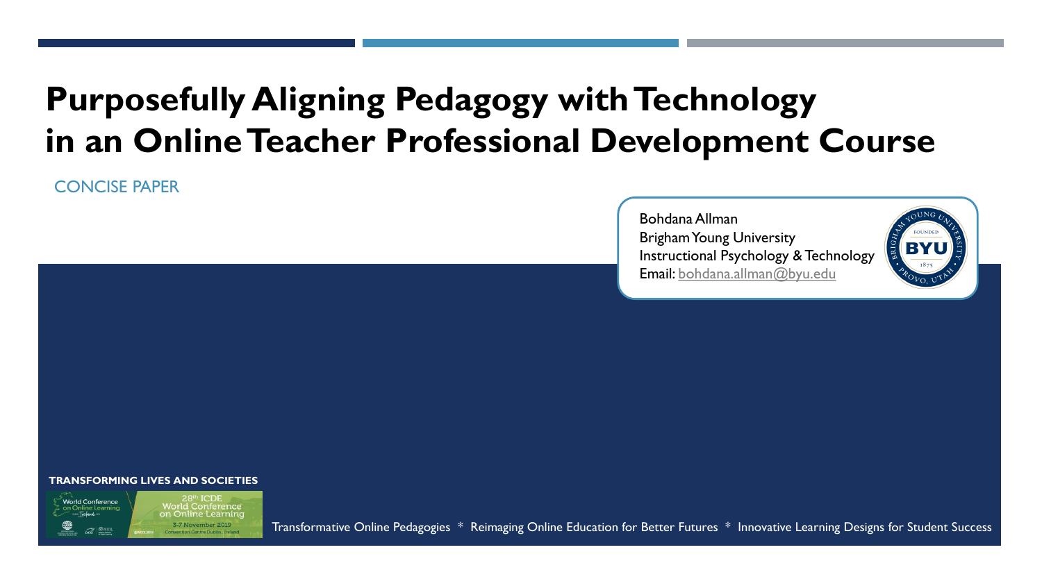### **Purposefully Aligning Pedagogy with Technology in an Online Teacher Professional Development Course**

CONCISE PAPER

Bohdana Allman Brigham Young University Instructional Psychology & Technology Email: [bohdana.allman@byu.edu](mailto:bohdana.allman@byu.edu)



#### **TRANSFORMING LIVES AND SOCIETIES**

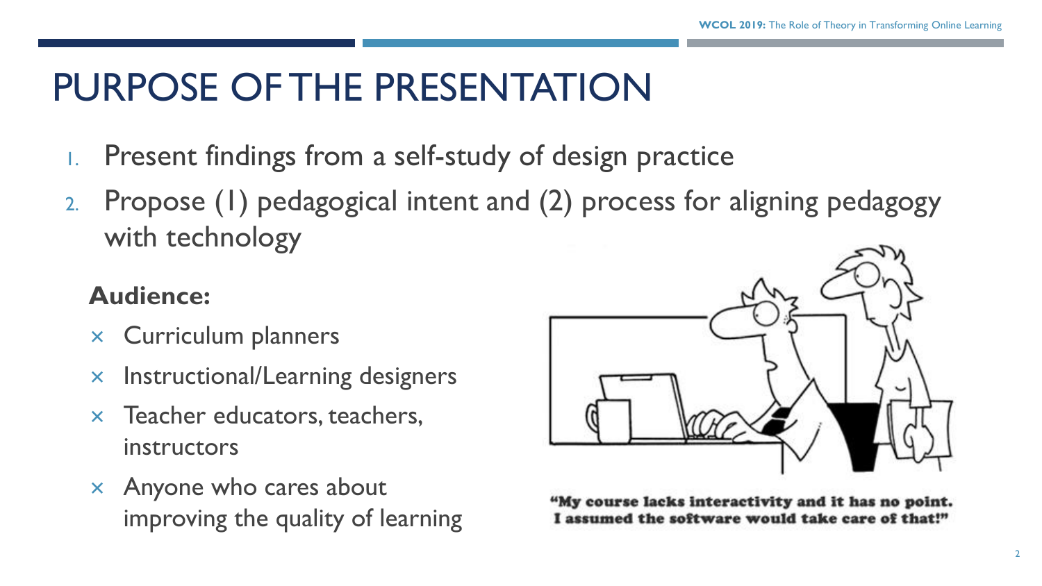### PURPOSE OF THE PRESENTATION

- Present findings from a self-study of design practice
- 2. Propose (1) pedagogical intent and (2) process for aligning pedagogy with technology

#### **Audience:**

- $\times$  Curriculum planners
- $\times$  Instructional/Learning designers
- $\times$  Teacher educators, teachers, instructors
- $\times$  Anyone who cares about improving the quality of learning



"My course lacks interactivity and it has no point. I assumed the software would take care of that!"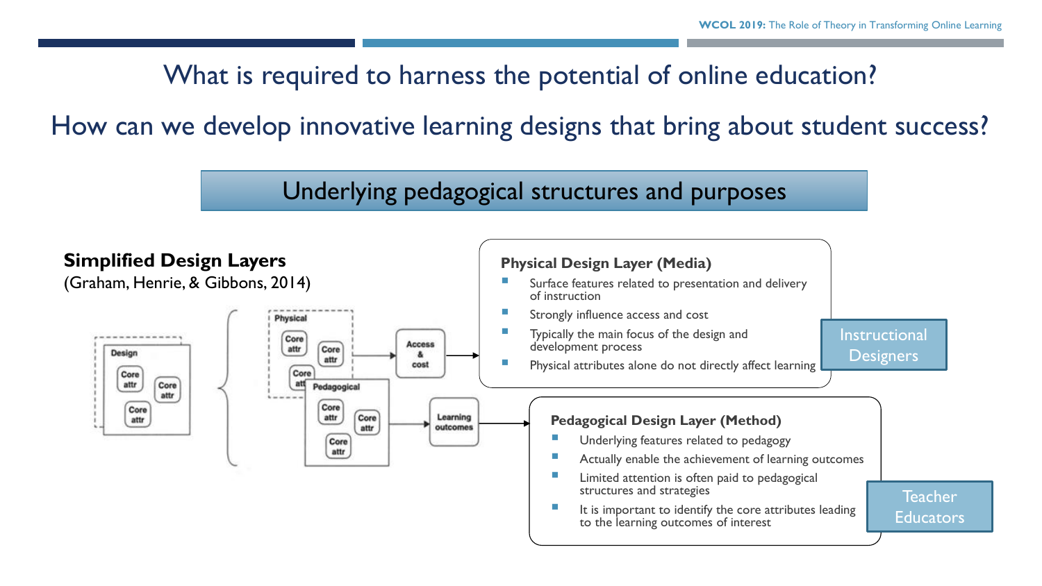#### What is required to harness the potential of online education?

How can we develop innovative learning designs that bring about student success?

Underlying pedagogical structures and purposes

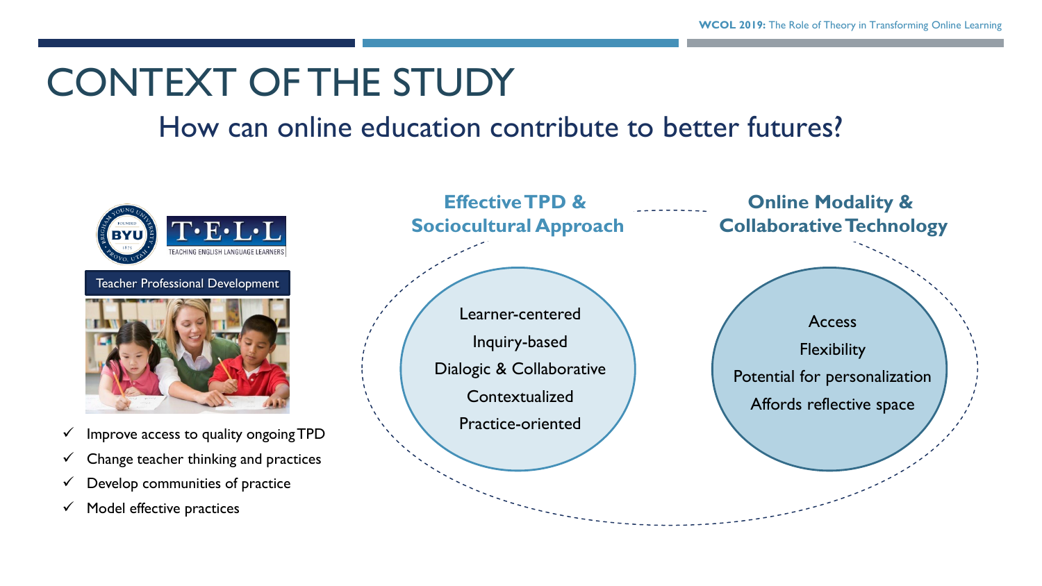# CONTEXT OF THE STUDY

#### How can online education contribute to better futures?



Teacher Professional Development



- 
- $\checkmark$  Change teacher thinking and practices
- $\checkmark$  Develop communities of practice
- $\checkmark$  Model effective practices

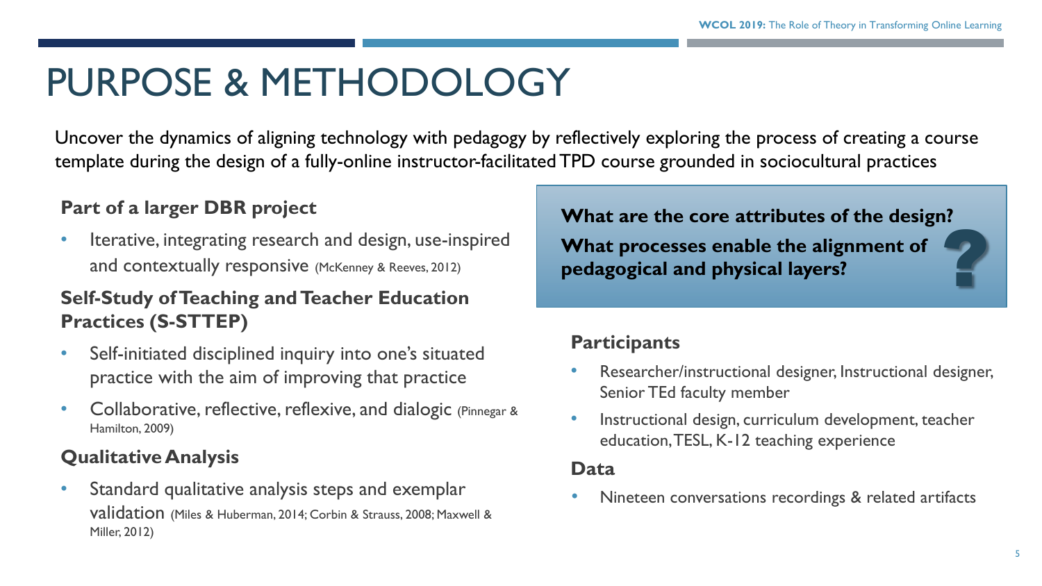# PURPOSE & METHODOLOGY

Uncover the dynamics of aligning technology with pedagogy by reflectively exploring the process of creating a course template during the design of a fully-online instructor-facilitated TPD course grounded in sociocultural practices

#### **Part of a larger DBR project**

• Iterative, integrating research and design, use-inspired and contextually responsive (McKenney & Reeves, 2012)

#### **Self-Study of Teaching and Teacher Education Practices (S-STTEP)**

- Self-initiated disciplined inquiry into one's situated practice with the aim of improving that practice
- Collaborative, reflective, reflexive, and dialogic (Pinnegar & Hamilton, 2009)

#### **Qualitative Analysis**

• Standard qualitative analysis steps and exemplar validation (Miles & Huberman, 2014; Corbin & Strauss, 2008; Maxwell & Miller, 2012)

# ? **What are the core attributes of the design?**

**What processes enable the alignment of pedagogical and physical layers?**

#### **Participants**

- Researcher/instructional designer, Instructional designer, Senior TEd faculty member
- Instructional design, curriculum development, teacher education, TESL, K-12 teaching experience

#### **Data**

Nineteen conversations recordings & related artifacts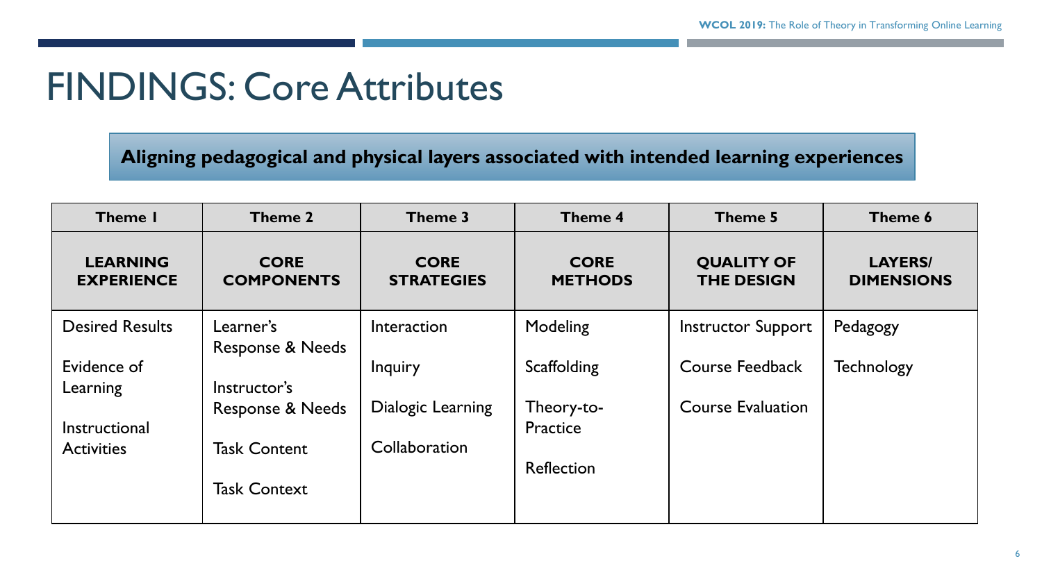### FINDINGS: Core Attributes

**Aligning pedagogical and physical layers associated with intended learning experiences** 

| Theme I                              | Theme 2                                            | Theme 3                            | Theme 4                       | Theme 5                                | Theme 6                             |
|--------------------------------------|----------------------------------------------------|------------------------------------|-------------------------------|----------------------------------------|-------------------------------------|
| <b>LEARNING</b><br><b>EXPERIENCE</b> | <b>CORE</b><br><b>COMPONENTS</b>                   | <b>CORE</b><br><b>STRATEGIES</b>   | <b>CORE</b><br><b>METHODS</b> | <b>QUALITY OF</b><br><b>THE DESIGN</b> | <b>LAYERS/</b><br><b>DIMENSIONS</b> |
| <b>Desired Results</b>               | Learner's                                          | Interaction                        | Modeling                      | <b>Instructor Support</b>              | Pedagogy                            |
| Evidence of<br>Learning              | <b>Response &amp; Needs</b><br>Instructor's        | Inquiry                            | Scaffolding                   | Course Feedback                        | <b>Technology</b>                   |
| Instructional<br><b>Activities</b>   | <b>Response &amp; Needs</b><br><b>Task Content</b> | Dialogic Learning<br>Collaboration | Theory-to-<br>Practice        | <b>Course Evaluation</b>               |                                     |
|                                      | <b>Task Context</b>                                |                                    | <b>Reflection</b>             |                                        |                                     |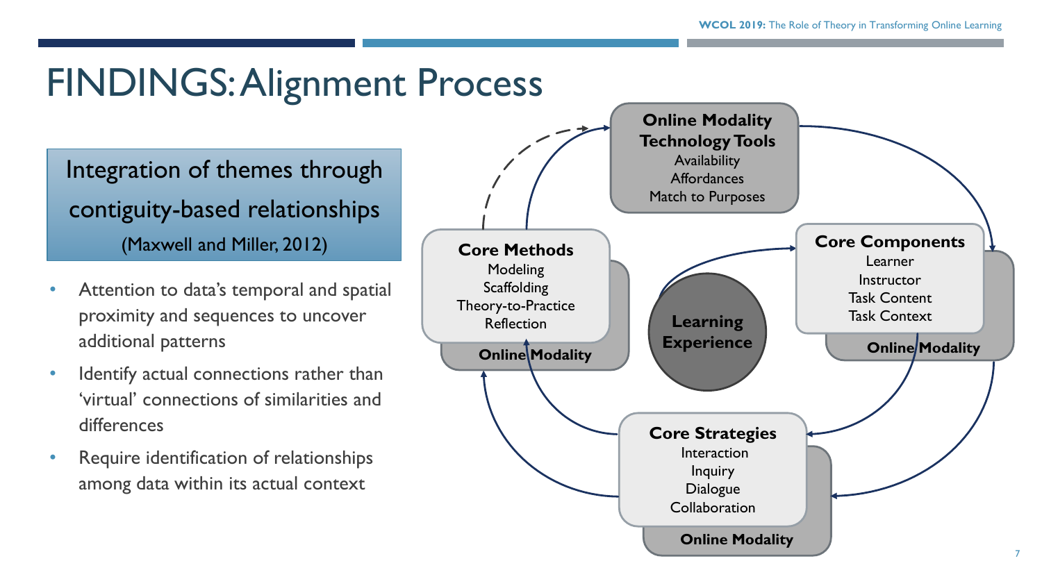### FINDINGS: Alignment Process

Integration of themes through contiguity-based relationships (Maxwell and Miller, 2012)

- Attention to data's temporal and spatial proximity and sequences to uncover additional patterns
- Identify actual connections rather than 'virtual' connections of similarities and differences
- Require identification of relationships among data within its actual context

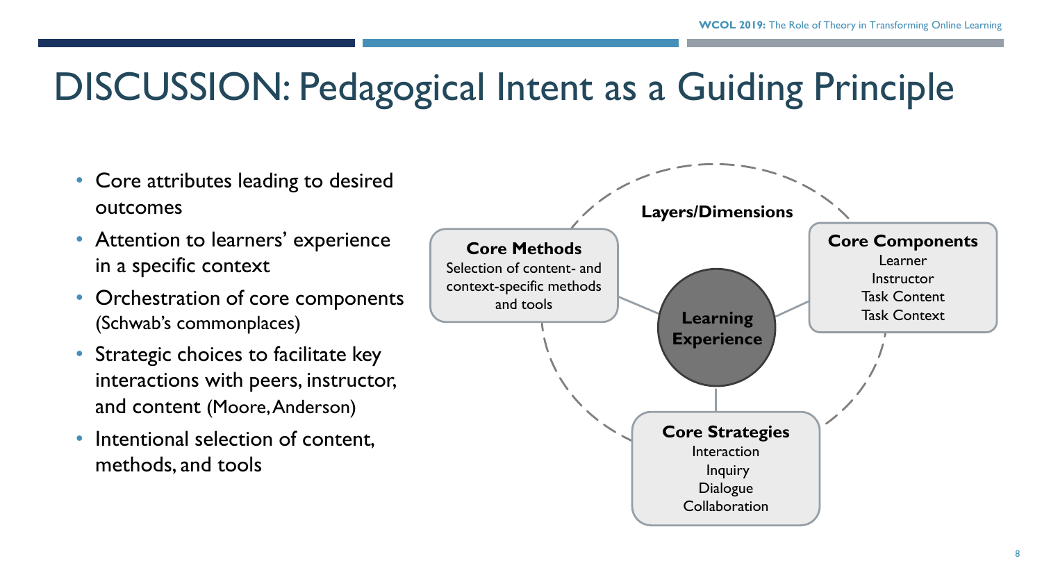### DISCUSSION: Pedagogical Intent as a Guiding Principle

- Core attributes leading to desired outcomes • Attention to learners' experience in a specific context • Orchestration of core components
	- (Schwab's commonplaces)
	- Strategic choices to facilitate key interactions with peers, instructor, and content (Moore, Anderson)
	- Intentional selection of content, methods, and tools

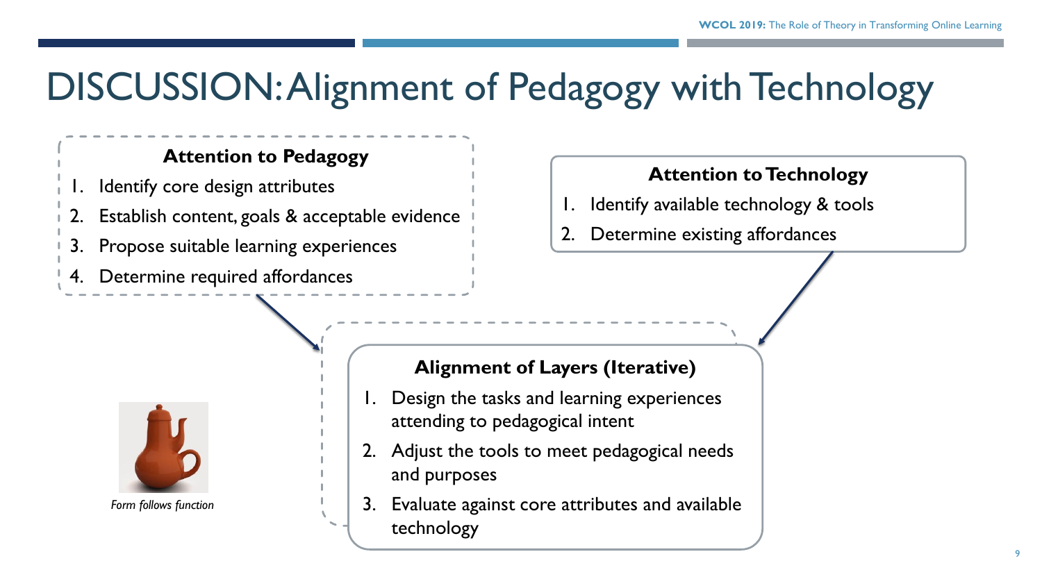### DISCUSSION: Alignment of Pedagogy with Technology

#### **Attention to Pedagogy**

- Identify core design attributes
- 2. Establish content, goals & acceptable evidence
- 3. Propose suitable learning experiences
- Determine required affordances

#### **Attention to Technology**

- Identify available technology & tools
- Determine existing affordances



*Form follows function*

#### **Alignment of Layers (Iterative)**

- Design the tasks and learning experiences attending to pedagogical intent
- 2. Adjust the tools to meet pedagogical needs and purposes
- 3. Evaluate against core attributes and available technology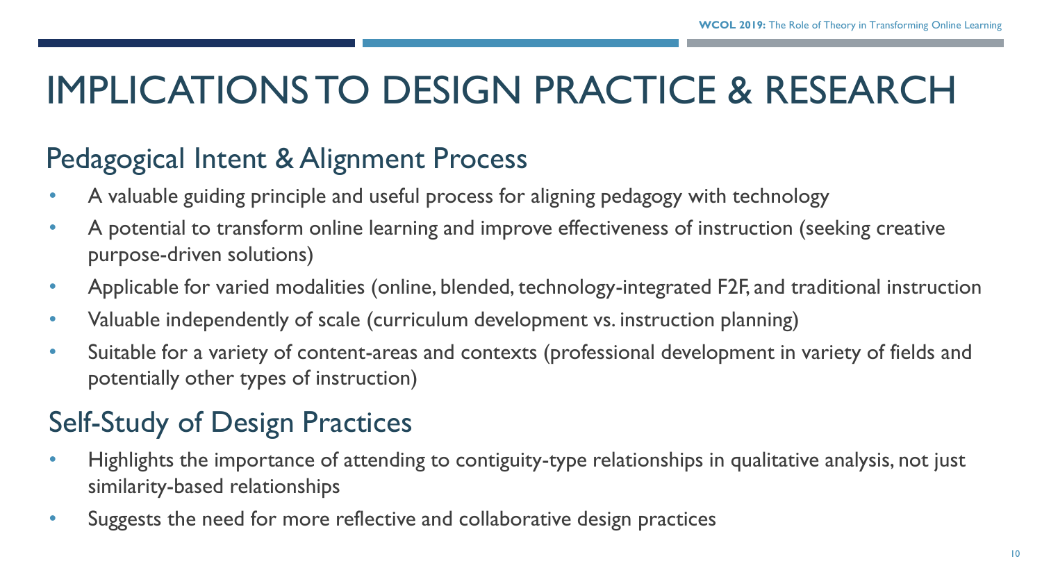# IMPLICATIONS TO DESIGN PRACTICE & RESEARCH

### Pedagogical Intent & Alignment Process

- A valuable guiding principle and useful process for aligning pedagogy with technology
- A potential to transform online learning and improve effectiveness of instruction (seeking creative purpose-driven solutions)
- Applicable for varied modalities (online, blended, technology-integrated F2F, and traditional instruction
- Valuable independently of scale (curriculum development vs. instruction planning)
- Suitable for a variety of content-areas and contexts (professional development in variety of fields and potentially other types of instruction)

### Self-Study of Design Practices

- Highlights the importance of attending to contiguity-type relationships in qualitative analysis, not just similarity-based relationships
- Suggests the need for more reflective and collaborative design practices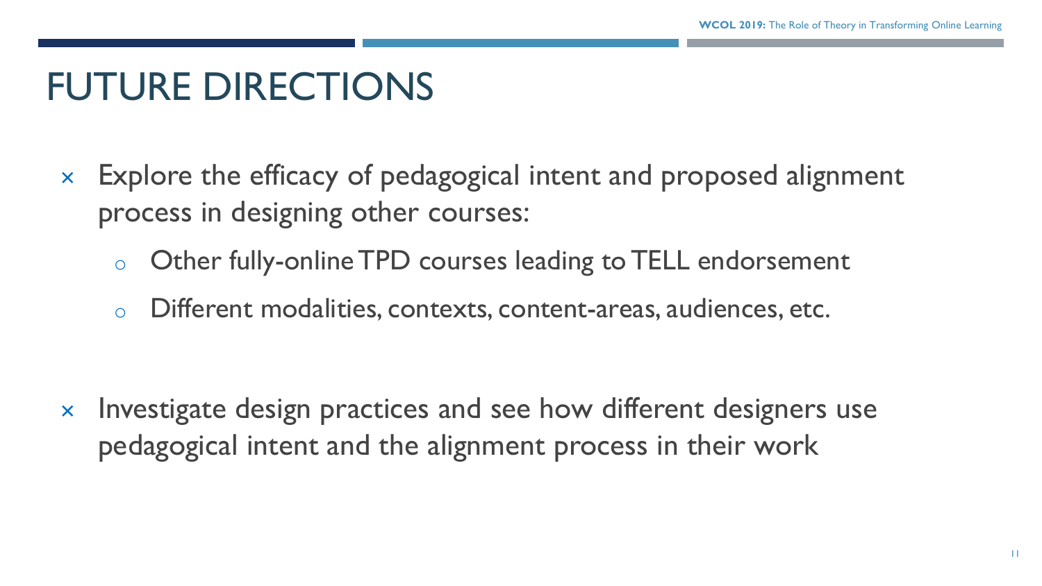# FUTURE DIRECTIONS

- Explore the efficacy of pedagogical intent and proposed alignment process in designing other courses:
	- o Other fully-online TPD courses leading to TELL endorsement
	- o Different modalities, contexts, content-areas, audiences, etc.

 $\times$  Investigate design practices and see how different designers use pedagogical intent and the alignment process in their work